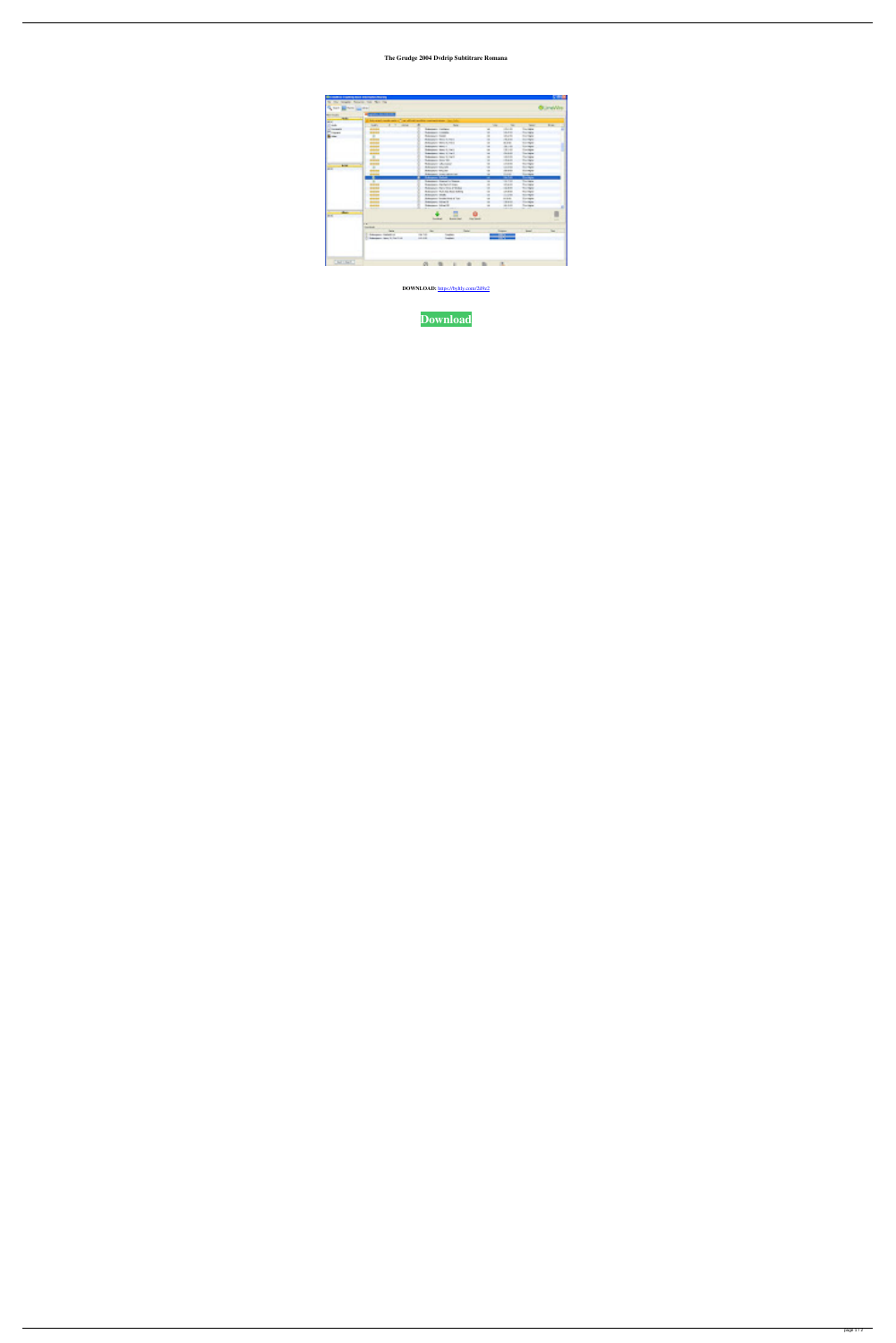## The Grudge 2004 Dvdrip Subtitrare Romana

| <b>PERMIT IS FOUND AND EXPORTED TO</b>       |                                                              |                                    |                                                                       |                   |              |                                      |                                      | m m               |
|----------------------------------------------|--------------------------------------------------------------|------------------------------------|-----------------------------------------------------------------------|-------------------|--------------|--------------------------------------|--------------------------------------|-------------------|
| the city benefits. Something the city that   |                                                              |                                    |                                                                       |                   |              |                                      |                                      |                   |
|                                              |                                                              |                                    |                                                                       |                   |              |                                      |                                      |                   |
| Sent Brendington                             |                                                              |                                    |                                                                       |                   |              |                                      |                                      | <b>Contractor</b> |
| <b>BERTHDISCHE</b>                           | <b>They also be seen a</b>                                   |                                    |                                                                       |                   |              |                                      |                                      |                   |
| <b>COLOR</b>                                 |                                                              |                                    |                                                                       |                   |              |                                      |                                      |                   |
| <b>MARKET</b>                                | between contracts of the plant points compared and contribu- |                                    |                                                                       |                   |              |                                      |                                      |                   |
| <b>County</b>                                | <b>THE</b><br><b>Selection</b><br>т<br><b>STATE</b>          | H                                  | line.                                                                 |                   | <b>STATE</b> | <b>THE</b>                           | Texas.                               | <b>Black</b>      |
| a company of                                 | فتستعد                                                       |                                    | <b>Subscription Continents</b>                                        |                   | <b>COL</b>   | <b>State State</b>                   | <b>Concertibility</b>                | m.                |
| <b>College College</b>                       | <b>START</b>                                                 |                                    | <b>Subscription Constitute</b>                                        |                   | ×            | <b>ALCOHOL:</b>                      | <b>Contractor</b>                    |                   |
| <b>Barnett</b>                               | W.                                                           | <b>School Coll</b>                 | the country form of                                                   |                   | m<br>m       | <b>CALL</b><br><b>COLOR</b>          | The Time                             |                   |
|                                              |                                                              |                                    | Adaptive March, Help                                                  |                   | ×            | <b>DESCRIPTION</b>                   | <b>Contract</b><br><b>STATISTICS</b> |                   |
|                                              |                                                              | Adapted Mary 1.                    |                                                                       |                   | <b>THE R</b> | <b>CONTRACTOR</b>                    | <b>Southern</b>                      |                   |
|                                              | <b>.</b>                                                     |                                    | <b>Schools Chevy Control</b>                                          |                   | <b>COLOR</b> | <b>COLLECTION</b>                    | <b>Contractor</b>                    |                   |
|                                              |                                                              |                                    | <b>Schools of Hind Street</b>                                         |                   | <b>COL</b>   | <b>COLLECT</b>                       | <b>Concerting</b>                    |                   |
|                                              | H.                                                           |                                    | <b>Subscription Color School</b>                                      |                   | H            | <b>ALL A</b>                         | <b>The State</b>                     |                   |
|                                              |                                                              | Telephone (Star To)                |                                                                       |                   | ш            | <b>COLLECTION</b>                    | The Time                             |                   |
| <b>Alternative</b>                           |                                                              |                                    | The product of the course.                                            |                   | ×            | <b>TANK</b>                          | <b>Contract</b>                      |                   |
| <b>STAR</b>                                  | m                                                            | <b>Address to July 1</b>           |                                                                       |                   | 19           | <b>COLORED</b>                       | <b><i>State State</i></b>            |                   |
|                                              |                                                              | Analysis Males                     |                                                                       |                   | <b>COL</b>   | <b>CONTRACTOR</b>                    | <b><i>STATISTICS</i></b>             |                   |
|                                              |                                                              |                                    | <b>Britannier Constitutions</b>                                       |                   | <b>LESS</b>  | <b>CONTRACT</b>                      | <b>Secretary</b>                     |                   |
|                                              |                                                              | فترادت ويجردنين                    |                                                                       |                   | œ            | فاست                                 | <b>Bernard</b>                       |                   |
|                                              | <b>THE R</b>                                                 |                                    | <b>Substitute Charles Co. Service</b>                                 |                   | <b>COL</b>   | <b>CONTRACTOR</b>                    | <b>Secretary</b>                     |                   |
|                                              |                                                              |                                    | Transport Carl Mills Street                                           |                   | a.           | <b>START</b>                         | The Story                            |                   |
|                                              |                                                              |                                    | The property of the United States<br><b>RESIDENT FRAUD ROLL FLATS</b> |                   | m            | <b>STATE</b>                         | <b>Contractor</b><br><b>Service</b>  |                   |
|                                              |                                                              | Automobile Chrysler                |                                                                       |                   | m<br>×       | <b>TANK</b>                          | <b>STATISTICS</b>                    |                   |
|                                              |                                                              |                                    | Britannian Corporation & Toyot                                        |                   | <b>LESS</b>  | <b>Contractor</b><br><b>COLORADO</b> | <b>Service</b>                       |                   |
|                                              | <b>THE R</b>                                                 | <b>Substitution College II</b>     |                                                                       |                   | <b>COL</b>   | <b>CONTRACTOR</b>                    | <b>CONTRACTOR</b>                    |                   |
|                                              |                                                              |                                    | <b>Subscription College Rd</b>                                        |                   | <b>COL</b>   | <b>COLLEGE</b>                       | <b><i><u>Contractor</u></i></b>      |                   |
|                                              | <b>Contract Contract</b>                                     | <b><i><u>ALCOHOL: 1999</u></i></b> |                                                                       |                   |              | <b>CONTRACTOR</b>                    | <b>CONTRACTOR</b>                    |                   |
| <b>Contract of Contract Contract</b><br>n er |                                                              |                                    | . .                                                                   |                   |              |                                      |                                      |                   |
|                                              |                                                              |                                    | <b>Contractor</b><br><b>Brown card</b>                                | <b>CONTRACTOR</b> |              |                                      |                                      | m                 |
|                                              | in an                                                        |                                    |                                                                       |                   |              |                                      |                                      |                   |
|                                              | <b>Death of</b>                                              |                                    |                                                                       |                   |              |                                      |                                      |                   |
|                                              | <b>Series</b>                                                | <b>There</b>                       |                                                                       | <b>Tariff</b>     |              | <b>Services</b>                      | <b>Branch</b>                        | <b>COLLECT</b>    |
|                                              | <b>Substitution Continues</b>                                | the first                          | <b>Constitute</b>                                                     |                   |              | a mata                               |                                      |                   |
|                                              | <b>Subscription Chevrolet Constitution</b>                   | <b>CALLED</b>                      | <b>Services</b>                                                       |                   |              |                                      |                                      |                   |
|                                              |                                                              |                                    |                                                                       |                   |              |                                      |                                      |                   |
|                                              |                                                              |                                    |                                                                       |                   |              |                                      |                                      |                   |
|                                              |                                                              |                                    |                                                                       |                   |              |                                      |                                      |                   |
|                                              |                                                              |                                    |                                                                       |                   |              |                                      |                                      |                   |
|                                              |                                                              |                                    |                                                                       |                   |              |                                      |                                      |                   |
| Det noch                                     |                                                              |                                    |                                                                       |                   |              | HE.                                  |                                      |                   |
|                                              |                                                              | 图                                  | 目                                                                     |                   |              |                                      |                                      |                   |

DOWNLOAD: https://byltly.com/2il9z2